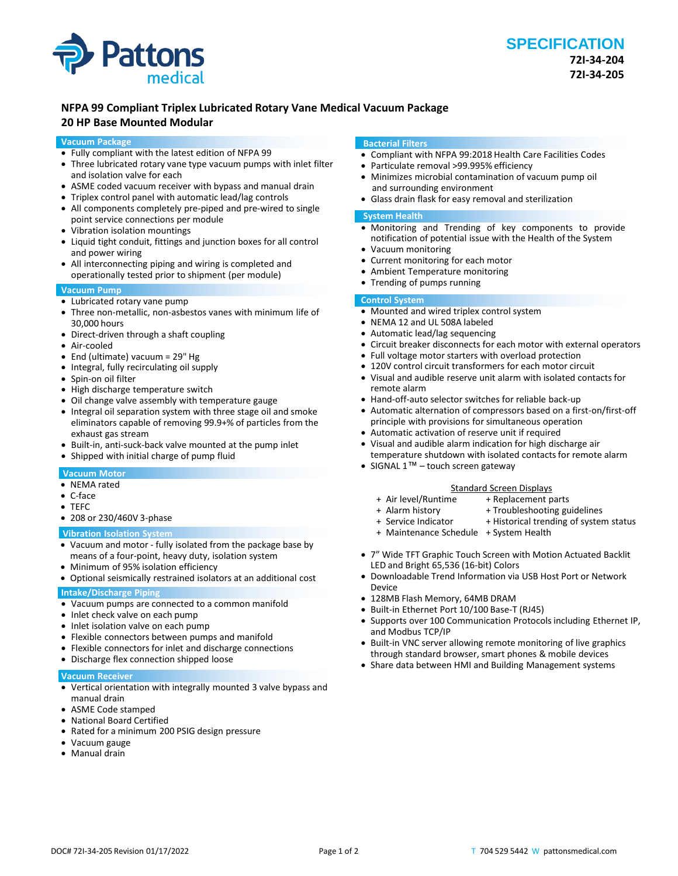

# **NFPA 99 Compliant Triplex Lubricated Rotary Vane Medical Vacuum Package**

# **20 HP Base Mounted Modular**

## **Vacuum Package**

- Fully compliant with the latest edition of NFPA 99
- Three lubricated rotary vane type vacuum pumps with inlet filter and isolation valve for each
- ASME coded vacuum receiver with bypass and manual drain
- Triplex control panel with automatic lead/lag controls
- All components completely pre-piped and pre-wired to single point service connections per module
- Vibration isolation mountings
- Liquid tight conduit, fittings and junction boxes for all control and power wiring
- All interconnecting piping and wiring is completed and operationally tested prior to shipment (per module)

# **Vacuum Pump**

- Lubricated rotary vane pump
- Three non-metallic, non-asbestos vanes with minimum life of 30,000 hours
- Direct-driven through a shaft coupling
- Air-cooled
- End (ultimate) vacuum = 29" Hg
- Integral, fully recirculating oil supply
- Spin-on oil filter
- High discharge temperature switch
- Oil change valve assembly with temperature gauge
- Integral oil separation system with three stage oil and smoke eliminators capable of removing 99.9+% of particles from the exhaust gas stream
- Built-in, anti-suck-back valve mounted at the pump inlet
- Shipped with initial charge of pump fluid

# **Vacuum Motor**

- NEMA rated
- C-face
- TEFC
- 208 or 230/460V 3-phase

#### **Vibration Isolation System**

- Vacuum and motor fully isolated from the package base by means of a four-point, heavy duty, isolation system
- Minimum of 95% isolation efficiency
- Optional seismically restrained isolators at an additional cost **Intake/Discharge Piping**
- 
- Vacuum pumps are connected to a common manifold
- Inlet check valve on each pump
- Inlet isolation valve on each pump
- Flexible connectors between pumps and manifold
- Flexible connectors for inlet and discharge connections
- Discharge flex connection shipped loose

#### **Vacuum Receiver**

- Vertical orientation with integrally mounted 3 valve bypass and manual drain
- ASME Code stamped
- National Board Certified
- Rated for a minimum 200 PSIG design pressure
- Vacuum gauge
- Manual drain

#### **Bacterial Filters**

- Compliant with NFPA 99:2018 Health Care Facilities Codes
- Particulate removal >99.995% efficiency
- Minimizes microbial contamination of vacuum pump oil and surrounding environment
- Glass drain flask for easy removal and sterilization

## **System Health**

- Monitoring and Trending of key components to provide notification of potential issue with the Health of the System
- Vacuum monitoring
- Current monitoring for each motor<br>• Ambient Temperature monitoring
- Ambient Temperature monitoring
- Trending of pumps running

#### **Control System**

- Mounted and wired triplex control system
- NEMA 12 and UL 508A labeled
- Automatic lead/lag sequencing
- Circuit breaker disconnects for each motor with external operators
- Full voltage motor starters with overload protection
- 120V control circuit transformers for each motor circuit
- Visual and audible reserve unit alarm with isolated contacts for remote alarm
- Hand-off-auto selector switches for reliable back-up
- Automatic alternation of compressors based on a first-on/first-off principle with provisions for simultaneous operation
- Automatic activation of reserve unit if required
- Visual and audible alarm indication for high discharge air temperature shutdown with isolated contacts for remote alarm
- SIGNAL 1<sup>™</sup> touch screen gateway

#### Standard Screen Displays<br>Air level/Runtime + Replacement p + Replacement parts

- 
- 
- + Alarm history + Troubleshooting guidelines<br>+ Service Indicator + Historical trending of syster + Historical trending of system status
- 
- + Maintenance Schedule + System Health
- 7" Wide TFT Graphic Touch Screen with Motion Actuated Backlit LED and Bright 65,536 (16-bit) Colors
- Downloadable Trend Information via USB Host Port or Network Device
- 128MB Flash Memory, 64MB DRAM
- Built-in Ethernet Port 10/100 Base-T (RJ45)
- Supports over 100 Communication Protocols including Ethernet IP, and Modbus TCP/IP
- Built-in VNC server allowing remote monitoring of live graphics through standard browser, smart phones & mobile devices
- Share data between HMI and Building Management systems